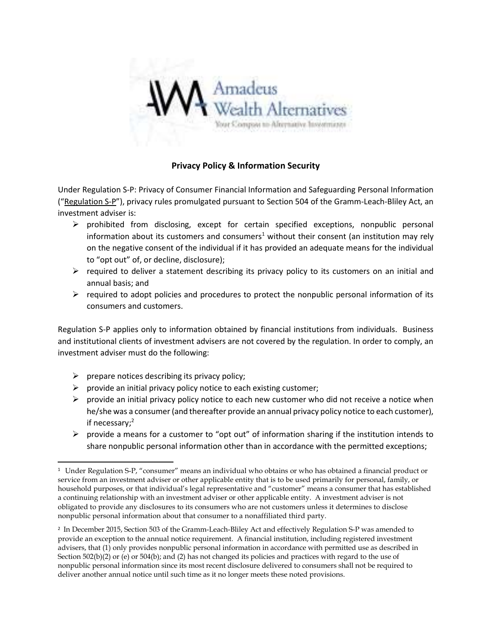

## Privacy Policy & Information Security

Under Regulation S-P: Privacy of Consumer Financial Information and Safeguarding Personal Information ("Regulation S-P"), privacy rules promulgated pursuant to Section 504 of the Gramm-Leach-Bliley Act, an investment adviser is:

- $\triangleright$  prohibited from disclosing, except for certain specified exceptions, nonpublic personal information about its customers and consumers<sup>1</sup> without their consent (an institution may rely on the negative consent of the individual if it has provided an adequate means for the individual to "opt out" of, or decline, disclosure);
- $\triangleright$  required to deliver a statement describing its privacy policy to its customers on an initial and annual basis; and
- $\triangleright$  required to adopt policies and procedures to protect the nonpublic personal information of its consumers and customers.

Regulation S-P applies only to information obtained by financial institutions from individuals. Business and institutional clients of investment advisers are not covered by the regulation. In order to comply, an investment adviser must do the following:

- $\triangleright$  prepare notices describing its privacy policy;
- $\triangleright$  provide an initial privacy policy notice to each existing customer;
- $\triangleright$  provide an initial privacy policy notice to each new customer who did not receive a notice when he/she was a consumer (and thereafter provide an annual privacy policy notice to each customer), if necessary;<sup>2</sup>
- $\triangleright$  provide a means for a customer to "opt out" of information sharing if the institution intends to share nonpublic personal information other than in accordance with the permitted exceptions;

<sup>1</sup> Under Regulation S-P, "consumer" means an individual who obtains or who has obtained a financial product or service from an investment adviser or other applicable entity that is to be used primarily for personal, family, or household purposes, or that individual's legal representative and "customer" means a consumer that has established a continuing relationship with an investment adviser or other applicable entity. A investment adviser is not obligated to provide any disclosures to its consumers who are not customers unless it determines to disclose nonpublic personal information about that consumer to a nonaffiliated third party.

<sup>2</sup> In December 2015, Section 503 of the Gramm-Leach-Bliley Act and effectively Regulation S-P was amended to provide an exception to the annual notice requirement. A financial institution, including registered investment advisers, that (1) only provides nonpublic personal information in accordance with permitted use as described in Section 502(b)(2) or (e) or 504(b); and (2) has not changed its policies and practices with regard to the use of nonpublic personal information since its most recent disclosure delivered to consumers shall not be required to deliver another annual notice until such time as it no longer meets these noted provisions.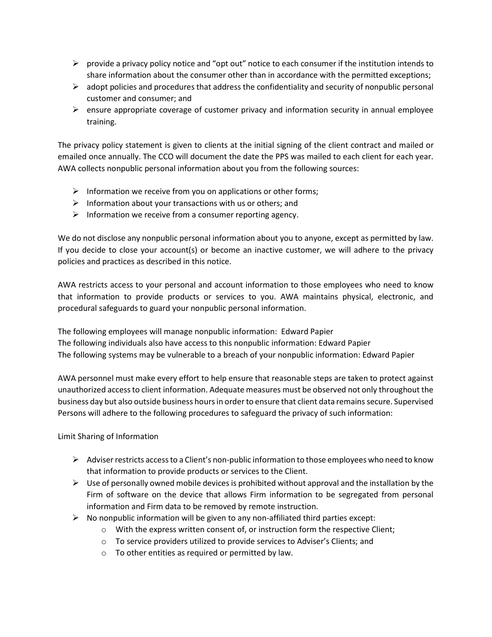- $\triangleright$  provide a privacy policy notice and "opt out" notice to each consumer if the institution intends to share information about the consumer other than in accordance with the permitted exceptions;
- $\triangleright$  adopt policies and procedures that address the confidentiality and security of nonpublic personal customer and consumer; and
- $\triangleright$  ensure appropriate coverage of customer privacy and information security in annual employee training.

The privacy policy statement is given to clients at the initial signing of the client contract and mailed or emailed once annually. The CCO will document the date the PPS was mailed to each client for each year. AWA collects nonpublic personal information about you from the following sources:

- $\triangleright$  Information we receive from you on applications or other forms;
- $\triangleright$  Information about your transactions with us or others; and
- $\triangleright$  Information we receive from a consumer reporting agency.

We do not disclose any nonpublic personal information about you to anyone, except as permitted by law. If you decide to close your account(s) or become an inactive customer, we will adhere to the privacy policies and practices as described in this notice.

AWA restricts access to your personal and account information to those employees who need to know that information to provide products or services to you. AWA maintains physical, electronic, and procedural safeguards to guard your nonpublic personal information.

The following employees will manage nonpublic information: Edward Papier The following individuals also have access to this nonpublic information: Edward Papier The following systems may be vulnerable to a breach of your nonpublic information: Edward Papier

AWA personnel must make every effort to help ensure that reasonable steps are taken to protect against unauthorized access to client information. Adequate measures must be observed not only throughout the business day but also outside business hours in order to ensure that client data remains secure. Supervised Persons will adhere to the following procedures to safeguard the privacy of such information:

Limit Sharing of Information

- $\triangleright$  Adviser restricts access to a Client's non-public information to those employees who need to know that information to provide products or services to the Client.
- $\triangleright$  Use of personally owned mobile devices is prohibited without approval and the installation by the Firm of software on the device that allows Firm information to be segregated from personal information and Firm data to be removed by remote instruction.
- $\triangleright$  No nonpublic information will be given to any non-affiliated third parties except:
	- o With the express written consent of, or instruction form the respective Client;
	- $\circ$  To service providers utilized to provide services to Adviser's Clients; and
	- o To other entities as required or permitted by law.